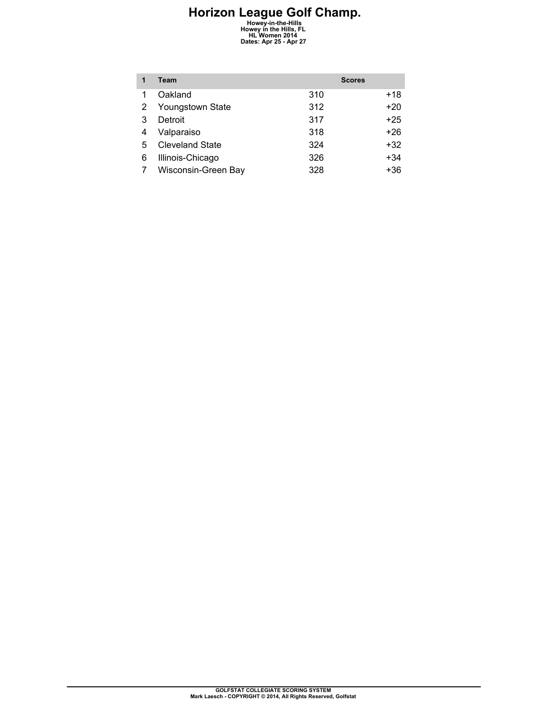## **Howey-in-the-Hills**<br>
Howey in the Hills, FL<br>
HL Women 2014<br>
Dates: Apr 25 - Apr 27

|   | Team                   | <b>Scores</b> |       |
|---|------------------------|---------------|-------|
|   | Oakland                | 310           | $+18$ |
| 2 | Youngstown State       | 312           | $+20$ |
| 3 | Detroit                | 317           | $+25$ |
| 4 | Valparaiso             | 318           | $+26$ |
| 5 | <b>Cleveland State</b> | 324           | $+32$ |
| 6 | Illinois-Chicago       | 326           | $+34$ |
|   | Wisconsin-Green Bay    | 328           | +36   |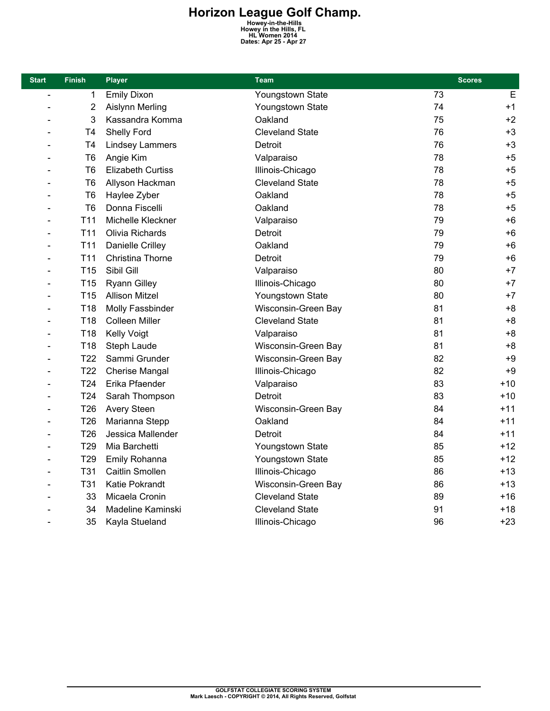## **Howey-in-the-Hills**<br>
Howey in the Hills, FL<br>
HL Women 2014<br>
Dates: Apr 25 - Apr 27

| <b>Start</b>                 | <b>Finish</b>   | <b>Team</b><br><b>Player</b> |                        | <b>Scores</b> |       |
|------------------------------|-----------------|------------------------------|------------------------|---------------|-------|
| $\qquad \qquad \blacksquare$ | 1               | <b>Emily Dixon</b>           | Youngstown State       | 73            | E     |
|                              | 2               | Aislynn Merling              | Youngstown State       | 74            | $+1$  |
|                              | 3               | Kassandra Komma              | Oakland                | 75            | $+2$  |
| $\overline{\phantom{a}}$     | T <sub>4</sub>  | Shelly Ford                  | <b>Cleveland State</b> | 76            | $+3$  |
| $\blacksquare$               | T <sub>4</sub>  | <b>Lindsey Lammers</b>       | Detroit                | 76            | $+3$  |
| $\blacksquare$               | T <sub>6</sub>  | Angie Kim<br>Valparaiso      |                        | 78            | $+5$  |
|                              | T <sub>6</sub>  | <b>Elizabeth Curtiss</b>     | Illinois-Chicago       | 78            | $+5$  |
|                              | T <sub>6</sub>  | Allyson Hackman              | <b>Cleveland State</b> | 78            | $+5$  |
| $\blacksquare$               | T <sub>6</sub>  | Haylee Zyber                 | Oakland                | 78            | $+5$  |
|                              | T <sub>6</sub>  | Donna Fiscelli               | Oakland                | 78            | $+5$  |
| $\qquad \qquad \blacksquare$ | T <sub>11</sub> | Michelle Kleckner            | Valparaiso             | 79            | $+6$  |
| $\overline{\phantom{0}}$     | T11             | Olivia Richards              | Detroit                | 79            | $+6$  |
| $\overline{\phantom{0}}$     | T <sub>11</sub> | Danielle Crilley             | Oakland                | 79            | $+6$  |
|                              | T <sub>11</sub> | Christina Thorne             | Detroit                | 79            | $+6$  |
| $\overline{\phantom{0}}$     | T <sub>15</sub> | Sibil Gill                   | Valparaiso             | 80            | $+7$  |
| $\overline{\phantom{a}}$     | T <sub>15</sub> | <b>Ryann Gilley</b>          | Illinois-Chicago       | 80            | $+7$  |
| $\blacksquare$               | T <sub>15</sub> | <b>Allison Mitzel</b>        | Youngstown State       | 80            | $+7$  |
| $\blacksquare$               | T18             | <b>Molly Fassbinder</b>      | Wisconsin-Green Bay    | 81            | $+8$  |
|                              | T18             | <b>Colleen Miller</b>        | <b>Cleveland State</b> | 81            | $+8$  |
| $\blacksquare$               | T18             | <b>Kelly Voigt</b>           | Valparaiso             | 81            | $+8$  |
| $\overline{\phantom{0}}$     | T18             | Steph Laude                  | Wisconsin-Green Bay    | 81            | $+8$  |
| ÷                            | T <sub>22</sub> | Sammi Grunder                | Wisconsin-Green Bay    | 82            | $+9$  |
|                              | T <sub>22</sub> | <b>Cherise Mangal</b>        | Illinois-Chicago       | 82            | $+9$  |
|                              | T24             | Erika Pfaender               | Valparaiso             | 83            | $+10$ |
| $\blacksquare$               | T24             | Sarah Thompson               | Detroit                | 83            | $+10$ |
| $\blacksquare$               | T26             | <b>Avery Steen</b>           | Wisconsin-Green Bay    | 84            | $+11$ |
| $\blacksquare$               | T26             | Marianna Stepp               | Oakland                | 84            | $+11$ |
| $\overline{\phantom{a}}$     | T26             | Jessica Mallender            | Detroit                | 84            | $+11$ |
| $\overline{\phantom{0}}$     | T29             | Mia Barchetti                | Youngstown State       | 85            | $+12$ |
| $\qquad \qquad \blacksquare$ | T29             | Emily Rohanna                | Youngstown State       | 85            | $+12$ |
| $\overline{\phantom{a}}$     | <b>T31</b>      | Caitlin Smollen              | Illinois-Chicago       | 86            | $+13$ |
| $\overline{\phantom{0}}$     | <b>T31</b>      | <b>Katie Pokrandt</b>        | Wisconsin-Green Bay    | 86            | $+13$ |
|                              | 33              | Micaela Cronin               | <b>Cleveland State</b> | 89            | $+16$ |
|                              | 34              | Madeline Kaminski            | <b>Cleveland State</b> | 91            | $+18$ |
|                              | 35              | Kayla Stueland               | Illinois-Chicago       | 96            | $+23$ |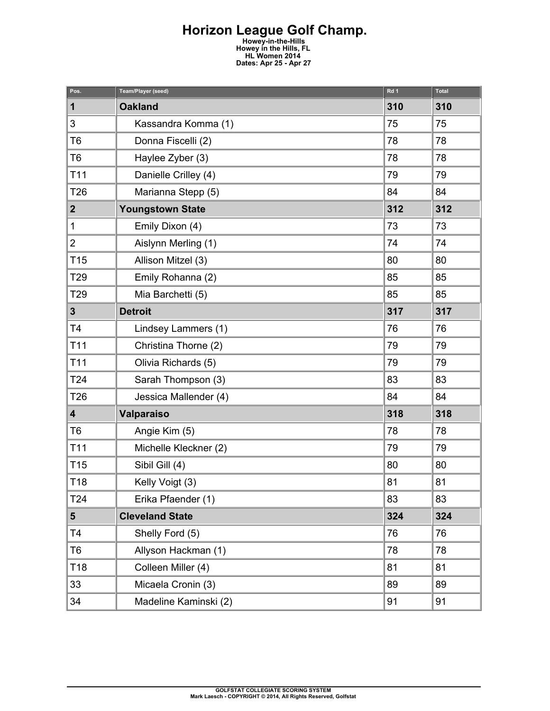## **Horizon League Golf Champ.**

**Howey-in-the-Hills Howey in the Hills, FL HL Women 2014 Dates: Apr 25 - Apr 27** 

| Pos.                    | Team/Player (seed)      | Rd 1 | Total |
|-------------------------|-------------------------|------|-------|
| 1                       | <b>Oakland</b>          | 310  | 310   |
| 3                       | Kassandra Komma (1)     | 75   | 75    |
| T <sub>6</sub>          | Donna Fiscelli (2)      | 78   | 78    |
| T <sub>6</sub>          | Haylee Zyber (3)        | 78   | 78    |
| T <sub>11</sub>         | Danielle Crilley (4)    | 79   | 79    |
| T26                     | Marianna Stepp (5)      | 84   | 84    |
| $\mathbf{2}$            | <b>Youngstown State</b> | 312  | 312   |
| 1                       | Emily Dixon (4)         | 73   | 73    |
| $\overline{2}$          | Aislynn Merling (1)     | 74   | 74    |
| T <sub>15</sub>         | Allison Mitzel (3)      | 80   | 80    |
| T29                     | Emily Rohanna (2)       | 85   | 85    |
| T29                     | Mia Barchetti (5)       | 85   | 85    |
| $\mathbf{3}$            | <b>Detroit</b>          | 317  | 317   |
| T <sub>4</sub>          | Lindsey Lammers (1)     | 76   | 76    |
| T <sub>11</sub>         | Christina Thorne (2)    | 79   | 79    |
| T <sub>11</sub>         | Olivia Richards (5)     | 79   | 79    |
| T24                     | Sarah Thompson (3)      | 83   | 83    |
| T26                     | Jessica Mallender (4)   | 84   | 84    |
| $\overline{\mathbf{4}}$ | <b>Valparaiso</b>       | 318  | 318   |
| T <sub>6</sub>          | Angie Kim (5)           | 78   | 78    |
| T <sub>11</sub>         | Michelle Kleckner (2)   | 79   | 79    |
| T <sub>15</sub>         | Sibil Gill (4)          | 80   | 80    |
| T <sub>18</sub>         | Kelly Voigt (3)         | 81   | 81    |
| T24                     | Erika Pfaender (1)      | 83   | 83    |
| $5\phantom{1}$          | <b>Cleveland State</b>  | 324  | 324   |
| T <sub>4</sub>          | Shelly Ford (5)         | 76   | 76    |
| T <sub>6</sub>          | Allyson Hackman (1)     | 78   | 78    |
| T <sub>18</sub>         | Colleen Miller (4)      | 81   | 81    |
| 33                      | Micaela Cronin (3)      | 89   | 89    |
| 34                      | Madeline Kaminski (2)   | 91   | 91    |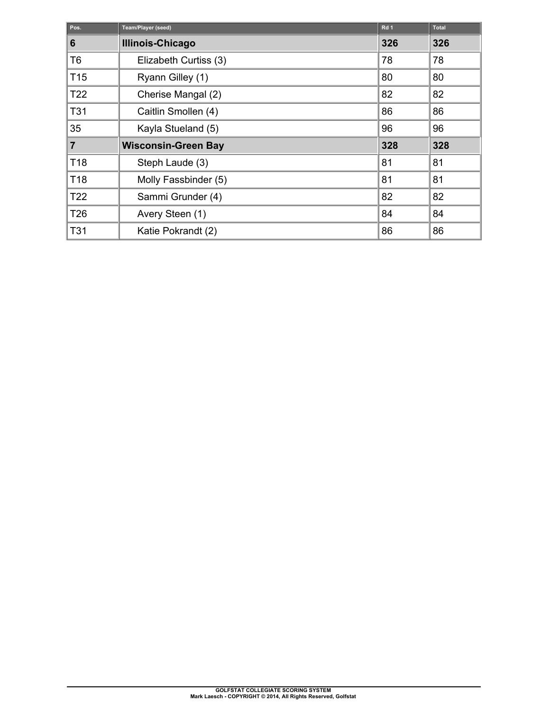| Pos.            | Team/Player (seed)         | Rd <sub>1</sub> | <b>Total</b> |
|-----------------|----------------------------|-----------------|--------------|
| 6               | Illinois-Chicago           | 326             | 326          |
| T6              | Elizabeth Curtiss (3)      | 78              | 78           |
| T <sub>15</sub> | Ryann Gilley (1)           | 80              | 80           |
| T <sub>22</sub> | Cherise Mangal (2)         | 82              | 82           |
| T31             | Caitlin Smollen (4)        | 86              | 86           |
| 35              | Kayla Stueland (5)         | 96              | 96           |
| 7               | <b>Wisconsin-Green Bay</b> | 328             | 328          |
| T <sub>18</sub> | Steph Laude (3)            | 81              | 81           |
| T <sub>18</sub> | Molly Fassbinder (5)       | 81              | 81           |
| T <sub>22</sub> | Sammi Grunder (4)          | 82              | 82           |
| T <sub>26</sub> | Avery Steen (1)            | 84              | 84           |
| T31             | Katie Pokrandt (2)         | 86              | 86           |